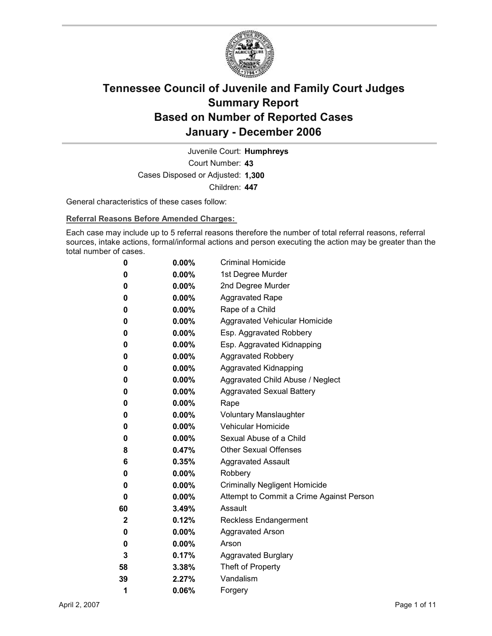

Court Number: **43** Juvenile Court: **Humphreys** Cases Disposed or Adjusted: **1,300** Children: **447**

General characteristics of these cases follow:

**Referral Reasons Before Amended Charges:** 

Each case may include up to 5 referral reasons therefore the number of total referral reasons, referral sources, intake actions, formal/informal actions and person executing the action may be greater than the total number of cases.

| 0  | $0.00\%$ | <b>Criminal Homicide</b>                 |
|----|----------|------------------------------------------|
| 0  | $0.00\%$ | 1st Degree Murder                        |
| 0  | $0.00\%$ | 2nd Degree Murder                        |
| 0  | $0.00\%$ | <b>Aggravated Rape</b>                   |
| 0  | $0.00\%$ | Rape of a Child                          |
| 0  | $0.00\%$ | Aggravated Vehicular Homicide            |
| 0  | $0.00\%$ | Esp. Aggravated Robbery                  |
| 0  | $0.00\%$ | Esp. Aggravated Kidnapping               |
| 0  | $0.00\%$ | <b>Aggravated Robbery</b>                |
| 0  | $0.00\%$ | <b>Aggravated Kidnapping</b>             |
| 0  | $0.00\%$ | Aggravated Child Abuse / Neglect         |
| 0  | $0.00\%$ | <b>Aggravated Sexual Battery</b>         |
| 0  | $0.00\%$ | Rape                                     |
| 0  | $0.00\%$ | <b>Voluntary Manslaughter</b>            |
| 0  | $0.00\%$ | <b>Vehicular Homicide</b>                |
| 0  | $0.00\%$ | Sexual Abuse of a Child                  |
| 8  | $0.47\%$ | <b>Other Sexual Offenses</b>             |
| 6  | $0.35\%$ | <b>Aggravated Assault</b>                |
| 0  | $0.00\%$ | Robbery                                  |
| 0  | $0.00\%$ | <b>Criminally Negligent Homicide</b>     |
| 0  | $0.00\%$ | Attempt to Commit a Crime Against Person |
| 60 | 3.49%    | Assault                                  |
| 2  | 0.12%    | <b>Reckless Endangerment</b>             |
| 0  | $0.00\%$ | <b>Aggravated Arson</b>                  |
| 0  | $0.00\%$ | Arson                                    |
| 3  | 0.17%    | <b>Aggravated Burglary</b>               |
| 58 | 3.38%    | Theft of Property                        |
| 39 | 2.27%    | Vandalism                                |
| 1  | 0.06%    | Forgery                                  |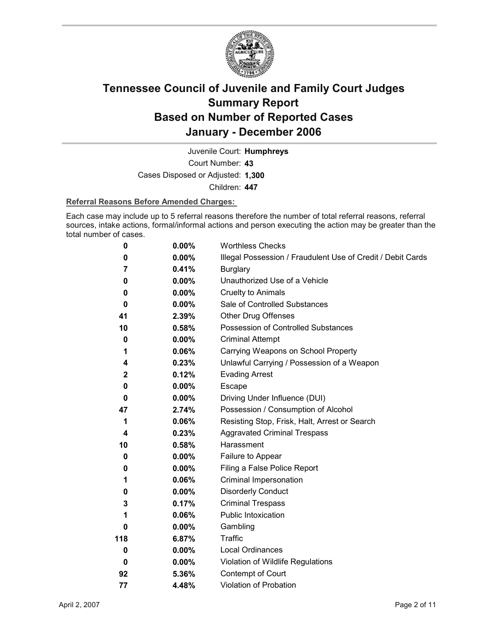

Juvenile Court: **Humphreys**

Court Number: **43**

Cases Disposed or Adjusted: **1,300**

Children: **447**

#### **Referral Reasons Before Amended Charges:**

Each case may include up to 5 referral reasons therefore the number of total referral reasons, referral sources, intake actions, formal/informal actions and person executing the action may be greater than the total number of cases.

| 0            | 0.00%    | <b>Worthless Checks</b>                                     |
|--------------|----------|-------------------------------------------------------------|
| 0            | $0.00\%$ | Illegal Possession / Fraudulent Use of Credit / Debit Cards |
| 7            | 0.41%    | <b>Burglary</b>                                             |
| 0            | $0.00\%$ | Unauthorized Use of a Vehicle                               |
| 0            | $0.00\%$ | <b>Cruelty to Animals</b>                                   |
| 0            | $0.00\%$ | Sale of Controlled Substances                               |
| 41           | 2.39%    | <b>Other Drug Offenses</b>                                  |
| 10           | 0.58%    | Possession of Controlled Substances                         |
| 0            | 0.00%    | <b>Criminal Attempt</b>                                     |
| 1            | 0.06%    | Carrying Weapons on School Property                         |
| 4            | 0.23%    | Unlawful Carrying / Possession of a Weapon                  |
| $\mathbf{2}$ | 0.12%    | <b>Evading Arrest</b>                                       |
| 0            | $0.00\%$ | Escape                                                      |
| 0            | $0.00\%$ | Driving Under Influence (DUI)                               |
| 47           | 2.74%    | Possession / Consumption of Alcohol                         |
| 1            | $0.06\%$ | Resisting Stop, Frisk, Halt, Arrest or Search               |
| 4            | 0.23%    | <b>Aggravated Criminal Trespass</b>                         |
| 10           | $0.58\%$ | Harassment                                                  |
| 0            | $0.00\%$ | Failure to Appear                                           |
| 0            | $0.00\%$ | Filing a False Police Report                                |
| 1            | 0.06%    | Criminal Impersonation                                      |
| 0            | $0.00\%$ | <b>Disorderly Conduct</b>                                   |
| 3            | 0.17%    | <b>Criminal Trespass</b>                                    |
| 1            | 0.06%    | <b>Public Intoxication</b>                                  |
| 0            | $0.00\%$ | Gambling                                                    |
| 118          | 6.87%    | <b>Traffic</b>                                              |
| 0            | $0.00\%$ | <b>Local Ordinances</b>                                     |
| 0            | $0.00\%$ | Violation of Wildlife Regulations                           |
| 92           | 5.36%    | Contempt of Court                                           |
| 77           | 4.48%    | Violation of Probation                                      |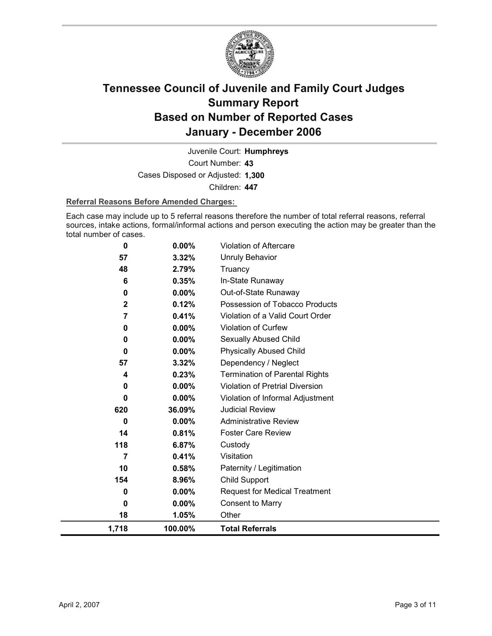

Court Number: **43** Juvenile Court: **Humphreys** Cases Disposed or Adjusted: **1,300** Children: **447**

#### **Referral Reasons Before Amended Charges:**

Each case may include up to 5 referral reasons therefore the number of total referral reasons, referral sources, intake actions, formal/informal actions and person executing the action may be greater than the total number of cases.

| 0              | 0.00%    | <b>Violation of Aftercare</b>          |
|----------------|----------|----------------------------------------|
| 57             | 3.32%    | Unruly Behavior                        |
| 48             | 2.79%    | Truancy                                |
| 6              | 0.35%    | In-State Runaway                       |
| 0              | $0.00\%$ | Out-of-State Runaway                   |
| $\overline{2}$ | 0.12%    | Possession of Tobacco Products         |
| 7              | 0.41%    | Violation of a Valid Court Order       |
| 0              | 0.00%    | Violation of Curfew                    |
| 0              | 0.00%    | Sexually Abused Child                  |
| 0              | $0.00\%$ | <b>Physically Abused Child</b>         |
| 57             | 3.32%    | Dependency / Neglect                   |
| 4              | 0.23%    | <b>Termination of Parental Rights</b>  |
| 0              | 0.00%    | <b>Violation of Pretrial Diversion</b> |
| 0              | 0.00%    | Violation of Informal Adjustment       |
| 620            | 36.09%   | <b>Judicial Review</b>                 |
| 0              | 0.00%    | <b>Administrative Review</b>           |
| 14             | 0.81%    | <b>Foster Care Review</b>              |
| 118            | 6.87%    | Custody                                |
| 7              | 0.41%    | Visitation                             |
| 10             | 0.58%    | Paternity / Legitimation               |
| 154            | 8.96%    | <b>Child Support</b>                   |
| 0              | $0.00\%$ | <b>Request for Medical Treatment</b>   |
| 0              | $0.00\%$ | <b>Consent to Marry</b>                |
| 18             | 1.05%    | Other                                  |
| 1,718          | 100.00%  | <b>Total Referrals</b>                 |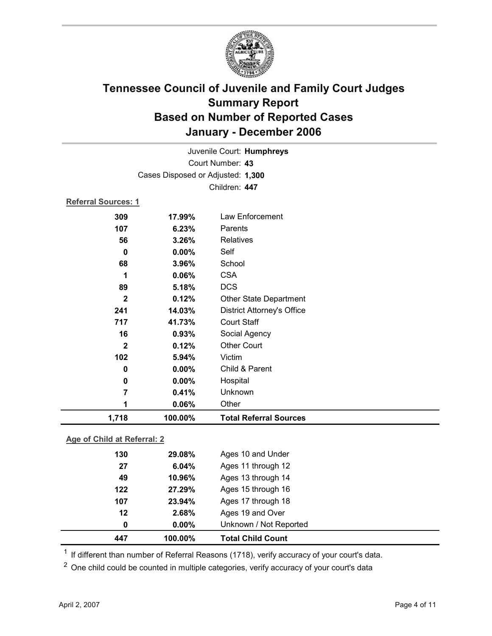

| Juvenile Court: Humphreys |                                   |                                   |  |  |  |
|---------------------------|-----------------------------------|-----------------------------------|--|--|--|
|                           | Court Number: 43                  |                                   |  |  |  |
|                           | Cases Disposed or Adjusted: 1,300 |                                   |  |  |  |
|                           | Children: 447                     |                                   |  |  |  |
|                           | <b>Referral Sources: 1</b>        |                                   |  |  |  |
| 309                       | 17.99%                            | <b>Law Enforcement</b>            |  |  |  |
| 107                       | 6.23%                             | Parents                           |  |  |  |
| 56                        | 3.26%                             | Relatives                         |  |  |  |
| $\bf{0}$                  | $0.00\%$                          | Self                              |  |  |  |
| 68                        | 3.96%                             | School                            |  |  |  |
| 1                         | 0.06%                             | <b>CSA</b>                        |  |  |  |
| 89                        | 5.18%                             | <b>DCS</b>                        |  |  |  |
| $\mathbf{2}$              | 0.12%                             | Other State Department            |  |  |  |
| 241                       | 14.03%                            | <b>District Attorney's Office</b> |  |  |  |
| 717                       | 41.73%                            | <b>Court Staff</b>                |  |  |  |
| 16                        | 0.93%                             | Social Agency                     |  |  |  |
| $\mathbf{2}$              | 0.12%                             | <b>Other Court</b>                |  |  |  |
| 102                       | 5.94%                             | Victim                            |  |  |  |
| $\bf{0}$                  | 0.00%                             | Child & Parent                    |  |  |  |
| 0                         | 0.00%                             | Hospital                          |  |  |  |
| 7                         | 0.41%                             | Unknown                           |  |  |  |
| 1                         | 0.06%                             | Other                             |  |  |  |
| 1,718                     | 100.00%                           | <b>Total Referral Sources</b>     |  |  |  |

#### **Age of Child at Referral: 2**

| 447 | 100.00%  | <b>Total Child Count</b> |
|-----|----------|--------------------------|
| 0   | $0.00\%$ | Unknown / Not Reported   |
| 12  | 2.68%    | Ages 19 and Over         |
| 107 | 23.94%   | Ages 17 through 18       |
| 122 | 27.29%   | Ages 15 through 16       |
| 49  | 10.96%   | Ages 13 through 14       |
| 27  | 6.04%    | Ages 11 through 12       |
| 130 | 29.08%   | Ages 10 and Under        |
|     |          |                          |

 $1$  If different than number of Referral Reasons (1718), verify accuracy of your court's data.

<sup>2</sup> One child could be counted in multiple categories, verify accuracy of your court's data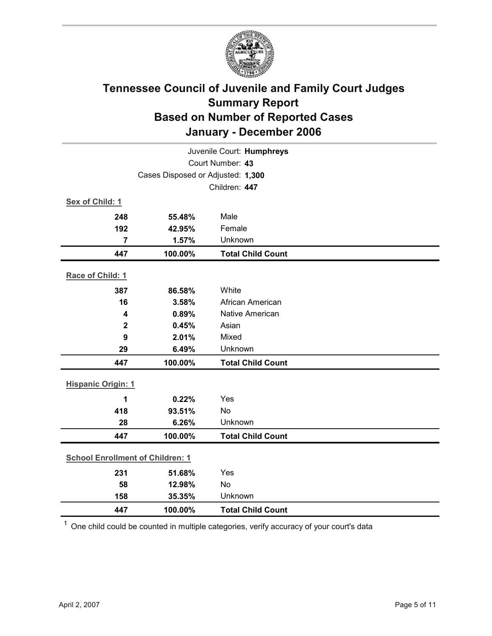

| Juvenile Court: Humphreys         |                                         |                          |  |
|-----------------------------------|-----------------------------------------|--------------------------|--|
| Court Number: 43                  |                                         |                          |  |
| Cases Disposed or Adjusted: 1,300 |                                         |                          |  |
|                                   |                                         | Children: 447            |  |
| Sex of Child: 1                   |                                         |                          |  |
| 248                               | 55.48%                                  | Male                     |  |
| 192                               | 42.95%                                  | Female                   |  |
| $\overline{7}$                    | 1.57%                                   | Unknown                  |  |
| 447                               | 100.00%                                 | <b>Total Child Count</b> |  |
| Race of Child: 1                  |                                         |                          |  |
| 387                               | 86.58%                                  | White                    |  |
| 16                                | 3.58%                                   | African American         |  |
| 4                                 | 0.89%                                   | Native American          |  |
| $\mathbf 2$                       | 0.45%                                   | Asian                    |  |
| 9                                 | 2.01%                                   | Mixed                    |  |
| 29                                | 6.49%                                   | Unknown                  |  |
| 447                               | 100.00%                                 | <b>Total Child Count</b> |  |
| <b>Hispanic Origin: 1</b>         |                                         |                          |  |
| 1                                 | 0.22%                                   | Yes                      |  |
| 418                               | 93.51%                                  | No                       |  |
| 28                                | 6.26%                                   | Unknown                  |  |
| 447                               | 100.00%                                 | <b>Total Child Count</b> |  |
|                                   | <b>School Enrollment of Children: 1</b> |                          |  |
| 231                               | 51.68%                                  | Yes                      |  |
| 58                                | 12.98%                                  | No                       |  |
| 158                               | 35.35%                                  | Unknown                  |  |
| 447                               | 100.00%                                 | <b>Total Child Count</b> |  |

 $1$  One child could be counted in multiple categories, verify accuracy of your court's data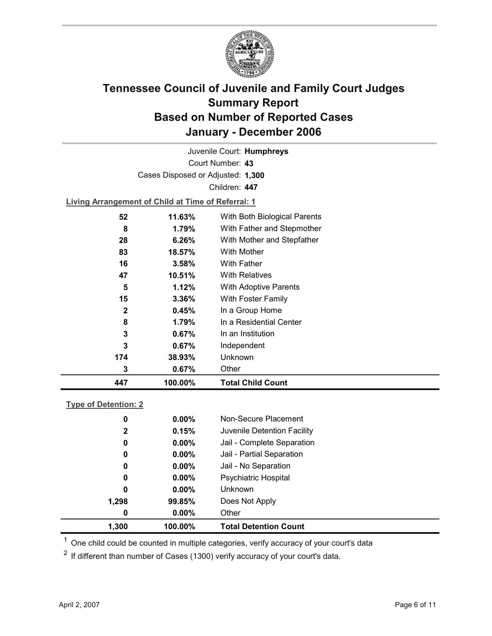

Court Number: **43** Juvenile Court: **Humphreys** Cases Disposed or Adjusted: **1,300** Children: **447**

**Living Arrangement of Child at Time of Referral: 1**

| 447          | 100.00% | <b>Total Child Count</b>     |
|--------------|---------|------------------------------|
| 3            | 0.67%   | Other                        |
| 174          | 38.93%  | Unknown                      |
| 3            | 0.67%   | Independent                  |
| 3            | 0.67%   | In an Institution            |
| 8            | 1.79%   | In a Residential Center      |
| $\mathbf{2}$ | 0.45%   | In a Group Home              |
| 15           | 3.36%   | With Foster Family           |
| 5            | 1.12%   | With Adoptive Parents        |
| 47           | 10.51%  | <b>With Relatives</b>        |
| 16           | 3.58%   | <b>With Father</b>           |
| 83           | 18.57%  | <b>With Mother</b>           |
| 28           | 6.26%   | With Mother and Stepfather   |
| 8            | 1.79%   | With Father and Stepmother   |
| 52           | 11.63%  | With Both Biological Parents |
|              |         |                              |

#### **Type of Detention: 2**

| 1.300        | 100.00%  | <b>Total Detention Count</b> |  |
|--------------|----------|------------------------------|--|
| 0            | $0.00\%$ | Other                        |  |
| 1,298        | 99.85%   | Does Not Apply               |  |
| 0            | $0.00\%$ | <b>Unknown</b>               |  |
| 0            | $0.00\%$ | <b>Psychiatric Hospital</b>  |  |
| 0            | $0.00\%$ | Jail - No Separation         |  |
| 0            | $0.00\%$ | Jail - Partial Separation    |  |
| 0            | $0.00\%$ | Jail - Complete Separation   |  |
| $\mathbf{2}$ | 0.15%    | Juvenile Detention Facility  |  |
| 0            | $0.00\%$ | Non-Secure Placement         |  |
|              |          |                              |  |

 $<sup>1</sup>$  One child could be counted in multiple categories, verify accuracy of your court's data</sup>

 $2$  If different than number of Cases (1300) verify accuracy of your court's data.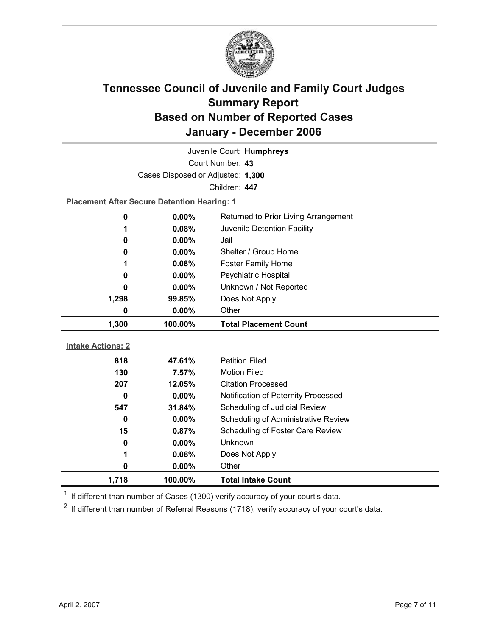

| Juvenile Court: Humphreys |                                                    |                                      |  |  |
|---------------------------|----------------------------------------------------|--------------------------------------|--|--|
| Court Number: 43          |                                                    |                                      |  |  |
|                           | Cases Disposed or Adjusted: 1,300                  |                                      |  |  |
|                           |                                                    | Children: 447                        |  |  |
|                           | <b>Placement After Secure Detention Hearing: 1</b> |                                      |  |  |
| 0                         | 0.00%                                              | Returned to Prior Living Arrangement |  |  |
| 1                         | 0.08%                                              | Juvenile Detention Facility          |  |  |
| 0                         | $0.00\%$                                           | Jail                                 |  |  |
| 0                         | $0.00\%$                                           | Shelter / Group Home                 |  |  |
| 1                         | 0.08%                                              | <b>Foster Family Home</b>            |  |  |
| 0                         | 0.00%                                              | <b>Psychiatric Hospital</b>          |  |  |
| 0                         | $0.00\%$                                           | Unknown / Not Reported               |  |  |
| 1,298                     | 99.85%                                             | Does Not Apply                       |  |  |
| 0                         | 0.00%                                              | Other                                |  |  |
|                           |                                                    |                                      |  |  |
| 1,300                     | 100.00%                                            | <b>Total Placement Count</b>         |  |  |
|                           |                                                    |                                      |  |  |
| <b>Intake Actions: 2</b>  |                                                    |                                      |  |  |
| 818                       | 47.61%                                             | <b>Petition Filed</b>                |  |  |
| 130                       | 7.57%                                              | <b>Motion Filed</b>                  |  |  |
| 207                       | 12.05%                                             | <b>Citation Processed</b>            |  |  |
| 0                         | $0.00\%$                                           | Notification of Paternity Processed  |  |  |
| 547                       | 31.84%                                             | Scheduling of Judicial Review        |  |  |
| $\bf{0}$                  | 0.00%                                              | Scheduling of Administrative Review  |  |  |
| 15                        | 0.87%                                              | Scheduling of Foster Care Review     |  |  |
| 0                         | $0.00\%$                                           | Unknown                              |  |  |
| 1                         | 0.06%                                              | Does Not Apply                       |  |  |
| 0                         | 0.00%                                              | Other                                |  |  |

 $1$  If different than number of Cases (1300) verify accuracy of your court's data.

 $2$  If different than number of Referral Reasons (1718), verify accuracy of your court's data.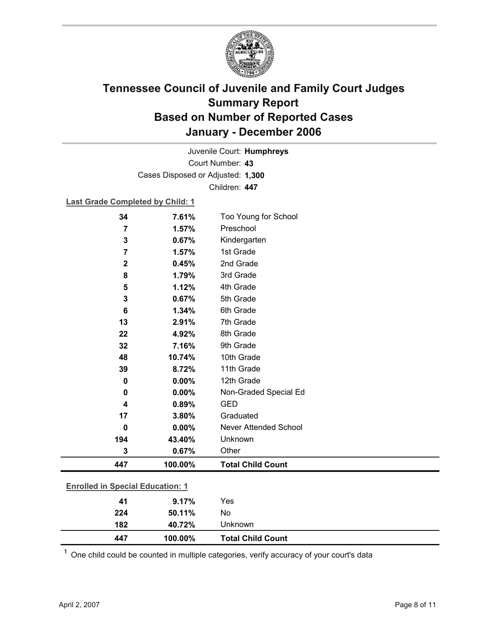

Court Number: **43** Juvenile Court: **Humphreys** Cases Disposed or Adjusted: **1,300** Children: **447**

**Last Grade Completed by Child: 1**

| 34                                      | 7.61%   | Too Young for School     |
|-----------------------------------------|---------|--------------------------|
| $\overline{7}$                          | 1.57%   | Preschool                |
| 3                                       | 0.67%   | Kindergarten             |
| $\overline{7}$                          | 1.57%   | 1st Grade                |
| $\mathbf 2$                             | 0.45%   | 2nd Grade                |
| 8                                       | 1.79%   | 3rd Grade                |
| 5                                       | 1.12%   | 4th Grade                |
| 3                                       | 0.67%   | 5th Grade                |
| 6                                       | 1.34%   | 6th Grade                |
| 13                                      | 2.91%   | 7th Grade                |
| 22                                      | 4.92%   | 8th Grade                |
| 32                                      | 7.16%   | 9th Grade                |
| 48                                      | 10.74%  | 10th Grade               |
| 39                                      | 8.72%   | 11th Grade               |
| 0                                       | 0.00%   | 12th Grade               |
| 0                                       | 0.00%   | Non-Graded Special Ed    |
| 4                                       | 0.89%   | <b>GED</b>               |
| 17                                      | 3.80%   | Graduated                |
| 0                                       | 0.00%   | Never Attended School    |
| 194                                     | 43.40%  | Unknown                  |
| 3                                       | 0.67%   | Other                    |
| 447                                     | 100.00% | <b>Total Child Count</b> |
|                                         |         |                          |
| <b>Enrolled in Special Education: 1</b> |         |                          |
| 41                                      | 9.17%   | Yes                      |
| 224                                     | 50.11%  | No                       |

 $1$  One child could be counted in multiple categories, verify accuracy of your court's data

**182 40.72%** Unknown

**447 100.00% Total Child Count**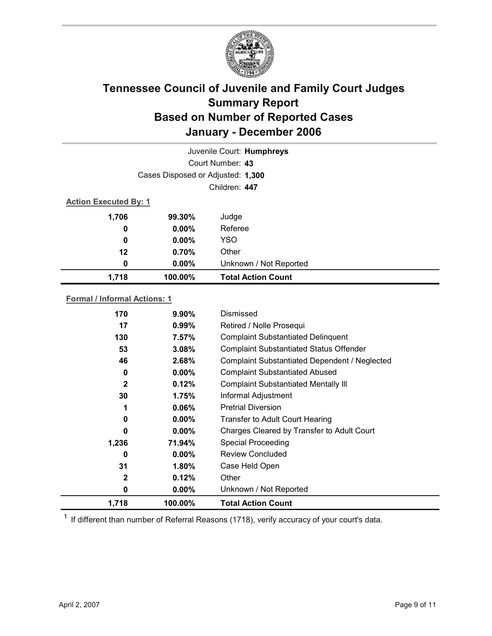

| Juvenile Court: Humphreys           |                                   |                                           |  |
|-------------------------------------|-----------------------------------|-------------------------------------------|--|
| Court Number: 43                    |                                   |                                           |  |
|                                     | Cases Disposed or Adjusted: 1,300 |                                           |  |
|                                     |                                   | Children: 447                             |  |
| <b>Action Executed By: 1</b>        |                                   |                                           |  |
| 1,706                               | 99.30%                            | Judge                                     |  |
| 0                                   | $0.00\%$                          | Referee                                   |  |
| 0                                   | $0.00\%$                          | <b>YSO</b>                                |  |
| $12 \,$                             | $0.70\%$                          | Other                                     |  |
| 0                                   | $0.00\%$                          | Unknown / Not Reported                    |  |
| 1,718                               | 100.00%                           | <b>Total Action Count</b>                 |  |
| <b>Formal / Informal Actions: 1</b> |                                   |                                           |  |
| 170                                 | 9.90%                             | Dismissed                                 |  |
| 17                                  | 0.99%                             | Retired / Nolle Prosequi                  |  |
| 130                                 | 7.57%                             | <b>Complaint Substantiated Delinquent</b> |  |

| 1,718        | 100.00%  | <b>Total Action Count</b>                            |
|--------------|----------|------------------------------------------------------|
| 0            | $0.00\%$ | Unknown / Not Reported                               |
| $\mathbf{2}$ | 0.12%    | Other                                                |
| 31           | 1.80%    | Case Held Open                                       |
| 0            | $0.00\%$ | <b>Review Concluded</b>                              |
| 1,236        | 71.94%   | <b>Special Proceeding</b>                            |
| 0            | $0.00\%$ | Charges Cleared by Transfer to Adult Court           |
| 0            | $0.00\%$ | <b>Transfer to Adult Court Hearing</b>               |
| 1            | 0.06%    | <b>Pretrial Diversion</b>                            |
| 30           | 1.75%    | Informal Adjustment                                  |
| 2            | 0.12%    | <b>Complaint Substantiated Mentally III</b>          |
| 0            | $0.00\%$ | <b>Complaint Substantiated Abused</b>                |
| 46           | 2.68%    | <b>Complaint Substantiated Dependent / Neglected</b> |
| 53           | 3.08%    | <b>Complaint Substantiated Status Offender</b>       |
| טטו          | . .v. 70 | oomplann oapolannaica Domigacht                      |

 $1$  If different than number of Referral Reasons (1718), verify accuracy of your court's data.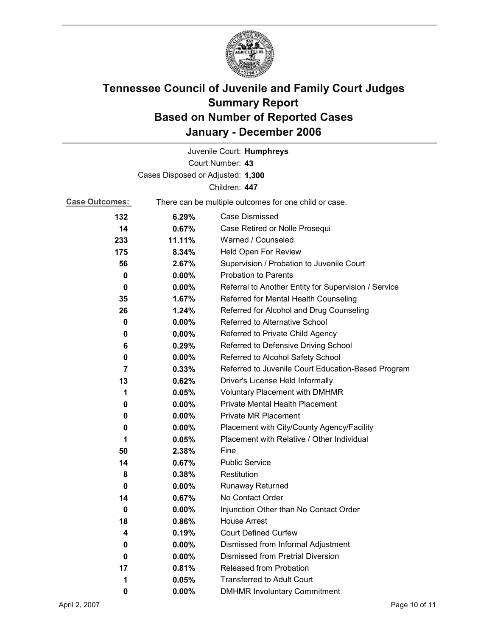

|                                   |                                                       | Juvenile Court: Humphreys                            |
|-----------------------------------|-------------------------------------------------------|------------------------------------------------------|
|                                   |                                                       | Court Number: 43                                     |
| Cases Disposed or Adjusted: 1,300 |                                                       |                                                      |
|                                   |                                                       | Children: 447                                        |
| <b>Case Outcomes:</b>             | There can be multiple outcomes for one child or case. |                                                      |
| 132                               | 6.29%                                                 | Case Dismissed                                       |
| 14                                | $0.67\%$                                              | Case Retired or Nolle Prosequi                       |
| 233                               | 11.11%                                                | Warned / Counseled                                   |
| 175                               | 8.34%                                                 | Held Open For Review                                 |
| 56                                | 2.67%                                                 | Supervision / Probation to Juvenile Court            |
| 0                                 | $0.00\%$                                              | <b>Probation to Parents</b>                          |
| 0                                 | $0.00\%$                                              | Referral to Another Entity for Supervision / Service |
| 35                                | 1.67%                                                 | Referred for Mental Health Counseling                |
| 26                                | 1.24%                                                 | Referred for Alcohol and Drug Counseling             |
| 0                                 | $0.00\%$                                              | Referred to Alternative School                       |
| 0                                 | $0.00\%$                                              | Referred to Private Child Agency                     |
| 6                                 | 0.29%                                                 | Referred to Defensive Driving School                 |
| 0                                 | $0.00\%$                                              | Referred to Alcohol Safety School                    |
| 7                                 | $0.33\%$                                              | Referred to Juvenile Court Education-Based Program   |
| 13                                | 0.62%                                                 | Driver's License Held Informally                     |
| 1                                 | 0.05%                                                 | <b>Voluntary Placement with DMHMR</b>                |
| 0                                 | $0.00\%$                                              | Private Mental Health Placement                      |
| 0                                 | $0.00\%$                                              | <b>Private MR Placement</b>                          |
| 0                                 | $0.00\%$                                              | Placement with City/County Agency/Facility           |
| 1                                 | 0.05%                                                 | Placement with Relative / Other Individual           |
| 50                                | 2.38%                                                 | Fine                                                 |
| 14                                | 0.67%                                                 | <b>Public Service</b>                                |
| 8                                 | 0.38%                                                 | Restitution                                          |
| 0                                 | $0.00\%$                                              | <b>Runaway Returned</b>                              |
| 14                                | 0.67%                                                 | No Contact Order                                     |
| 0                                 | 0.00%                                                 | Injunction Other than No Contact Order               |
| 18                                | 0.86%                                                 | <b>House Arrest</b>                                  |
| 4                                 | 0.19%                                                 | <b>Court Defined Curfew</b>                          |
| 0                                 | 0.00%                                                 | Dismissed from Informal Adjustment                   |
| 0                                 | $0.00\%$                                              | <b>Dismissed from Pretrial Diversion</b>             |
| 17                                | 0.81%                                                 | Released from Probation                              |
| 1                                 | 0.05%                                                 | <b>Transferred to Adult Court</b>                    |
| 0                                 | $0.00\%$                                              | <b>DMHMR Involuntary Commitment</b>                  |